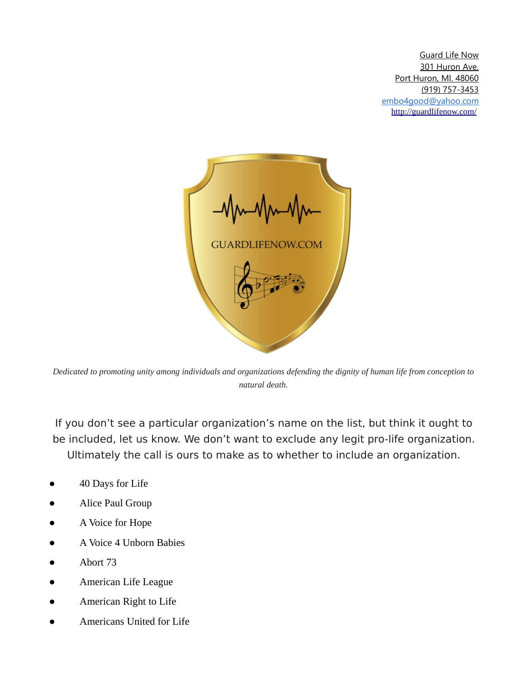

*Dedicated to promoting unity among individuals and organizations defending the dignity of human life from conception to natural death.*

If you don't see a particular organization's name on the list, but think it ought to be included, let us know. We don't want to exclude any legit pro-life organization. Ultimately the call is ours to make as to whether to include an organization.

- 40 Days for Life
- Alice Paul Group
- A Voice for Hope
- A Voice 4 Unborn Babies
- Abort 73
- American Life League
- American Right to Life
- Americans United for Life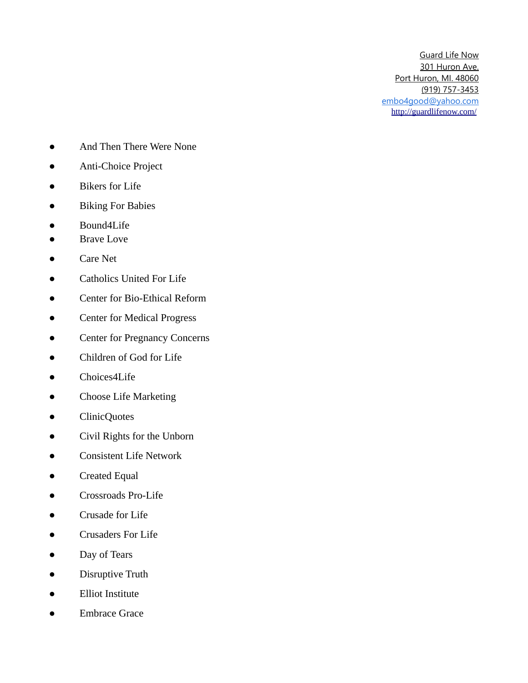- And Then There Were None
- Anti-Choice Project
- Bikers for Life
- Biking For Babies
- Bound4Life
- Brave Love
- Care Net
- Catholics United For Life
- Center for Bio-Ethical Reform
- Center for Medical Progress
- Center for Pregnancy Concerns
- Children of God for Life
- Choices4Life
- Choose Life Marketing
- ClinicQuotes
- Civil Rights for the Unborn
- **Consistent Life Network**
- Created Equal
- Crossroads Pro-Life
- Crusade for Life
- Crusaders For Life
- Day of Tears
- Disruptive Truth
- Elliot Institute
- Embrace Grace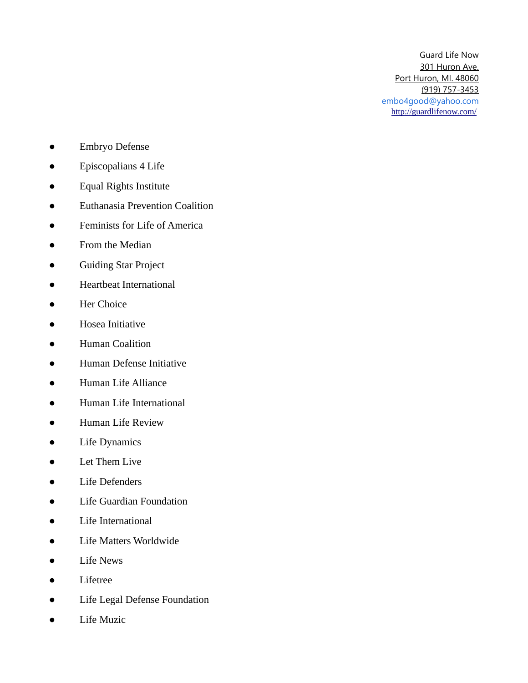- Embryo Defense
- Episcopalians 4 Life
- Equal Rights Institute
- Euthanasia Prevention Coalition
- Feminists for Life of America
- From the Median
- Guiding Star Project
- Heartbeat International
- Her Choice
- Hosea Initiative
- Human Coalition
- Human Defense Initiative
- Human Life Alliance
- Human Life International
- Human Life Review
- Life Dynamics
- Let Them Live
- Life Defenders
- Life Guardian Foundation
- Life International
- Life Matters Worldwide
- Life News
- Lifetree
- Life Legal Defense Foundation
- Life Muzic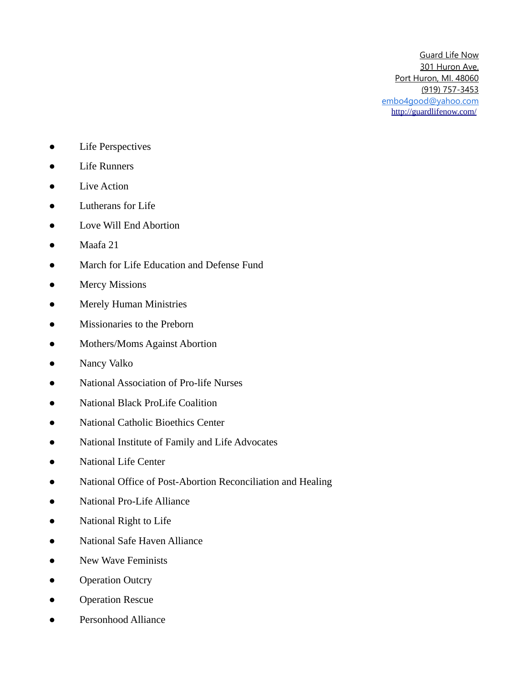- Life Perspectives
- Life Runners
- Live Action
- Lutherans for Life
- Love Will End Abortion
- Maafa 21
- March for Life Education and Defense Fund
- Mercy Missions
- **•** Merely Human Ministries
- Missionaries to the Preborn
- Mothers/Moms Against Abortion
- Nancy Valko
- National Association of Pro-life Nurses
- National Black ProLife Coalition
- National Catholic Bioethics Center
- National Institute of Family and Life Advocates
- National Life Center
- National Office of Post-Abortion Reconciliation and Healing
- National Pro-Life Alliance
- National Right to Life
- National Safe Haven Alliance
- New Wave Feminists
- Operation Outcry
- Operation Rescue
- Personhood Alliance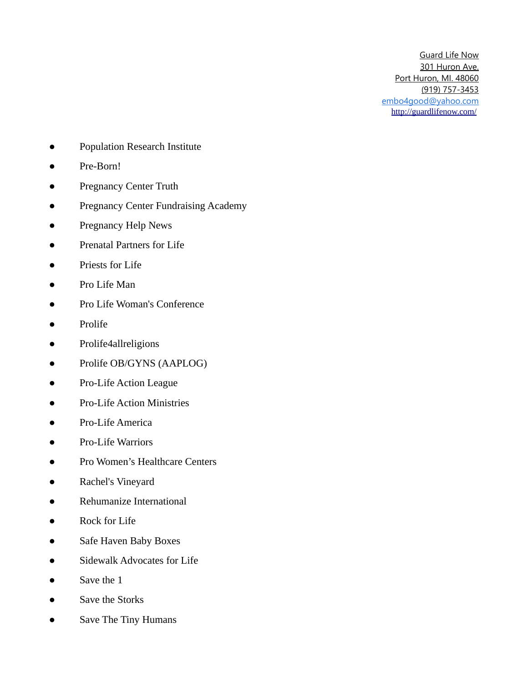- Population Research Institute
- Pre-Born!
- Pregnancy Center Truth
- Pregnancy Center Fundraising Academy
- Pregnancy Help News
- Prenatal Partners for Life
- Priests for Life
- Pro Life Man
- Pro Life Woman's Conference
- Prolife
- Prolife4allreligions
- Prolife OB/GYNS (AAPLOG)
- Pro-Life Action League
- Pro-Life Action Ministries
- Pro-Life America
- Pro-Life Warriors
- Pro Women's Healthcare Centers
- Rachel's Vineyard
- Rehumanize International
- Rock for Life
- Safe Haven Baby Boxes
- Sidewalk Advocates for Life
- Save the 1
- Save the Storks
- Save The Tiny Humans